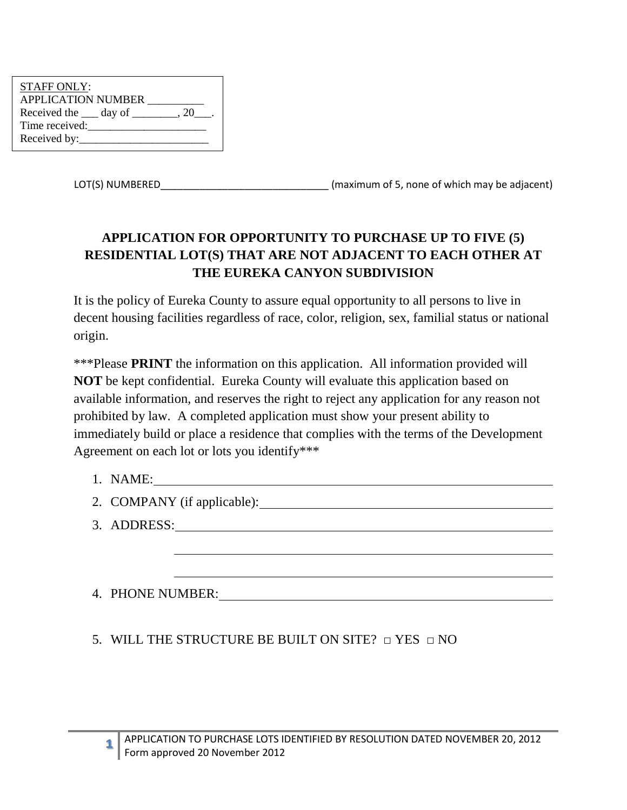| <b>STAFF ONLY:</b>                             |  |
|------------------------------------------------|--|
| <b>APPLICATION NUMBER</b>                      |  |
| Received the $\_\_\_$ day of $\_\_\_\_\_$ , 20 |  |
| Time received:                                 |  |
| Received by:                                   |  |

LOT(S) NUMBERED\_\_\_\_\_\_\_\_\_\_\_\_\_\_\_\_\_\_\_\_\_\_\_\_\_\_\_\_\_\_ (maximum of 5, none of which may be adjacent)

## **APPLICATION FOR OPPORTUNITY TO PURCHASE UP TO FIVE (5) RESIDENTIAL LOT(S) THAT ARE NOT ADJACENT TO EACH OTHER AT THE EUREKA CANYON SUBDIVISION**

It is the policy of Eureka County to assure equal opportunity to all persons to live in decent housing facilities regardless of race, color, religion, sex, familial status or national origin.

\*\*\*Please **PRINT** the information on this application. All information provided will **NOT** be kept confidential. Eureka County will evaluate this application based on available information, and reserves the right to reject any application for any reason not prohibited by law. A completed application must show your present ability to immediately build or place a residence that complies with the terms of the Development Agreement on each lot or lots you identify\*\*\*

1. NAME:

**1**

- 2. COMPANY (if applicable):
- 3. ADDRESS:

4. PHONE NUMBER:

5. WILL THE STRUCTURE BE BUILT ON SITE?  $\Box$  YES  $\Box$  NO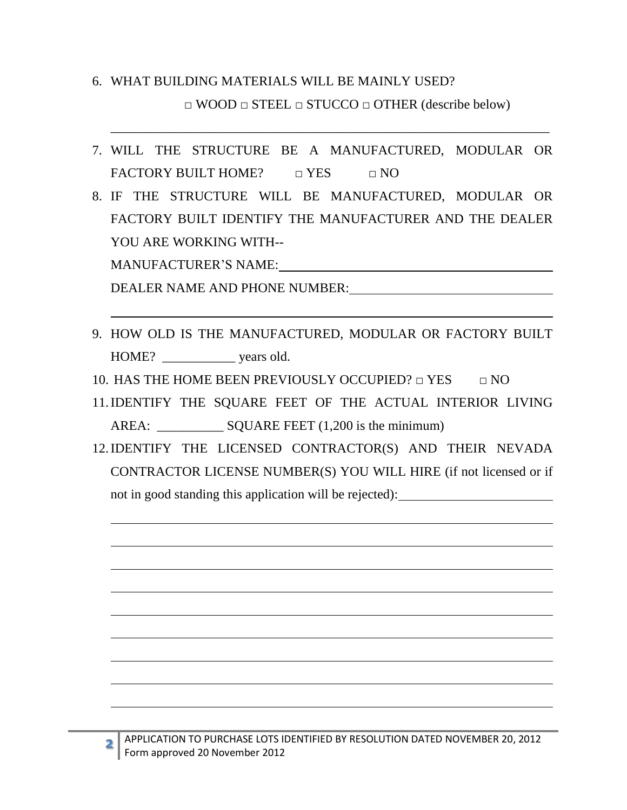## 6. WHAT BUILDING MATERIALS WILL BE MAINLY USED? □ WOOD □ STEEL □ STUCCO □ OTHER (describe below)

7. WILL THE STRUCTURE BE A MANUFACTURED, MODULAR OR FACTORY BUILT HOME?  $\Box$  YES  $\Box$  NO

\_\_\_\_\_\_\_\_\_\_\_\_\_\_\_\_\_\_\_\_\_\_\_\_\_\_\_\_\_\_\_\_\_\_\_\_\_\_\_\_\_\_\_\_\_\_\_\_\_\_\_\_\_\_\_\_\_\_\_\_\_\_\_\_\_\_

8. IF THE STRUCTURE WILL BE MANUFACTURED, MODULAR OR FACTORY BUILT IDENTIFY THE MANUFACTURER AND THE DEALER YOU ARE WORKING WITH--

MANUFACTURER'S NAME:

**2**

DEALER NAME AND PHONE NUMBER:

- 9. HOW OLD IS THE MANUFACTURED, MODULAR OR FACTORY BUILT HOME? \_\_\_\_\_\_\_\_\_\_\_\_\_ years old.
- 10. HAS THE HOME BEEN PREVIOUSLY OCCUPIED?  $\Box$  YES  $\Box$  NO
- 11.IDENTIFY THE SQUARE FEET OF THE ACTUAL INTERIOR LIVING AREA: SQUARE FEET (1,200 is the minimum)
- 12.IDENTIFY THE LICENSED CONTRACTOR(S) AND THEIR NEVADA CONTRACTOR LICENSE NUMBER(S) YOU WILL HIRE (if not licensed or if not in good standing this application will be rejected):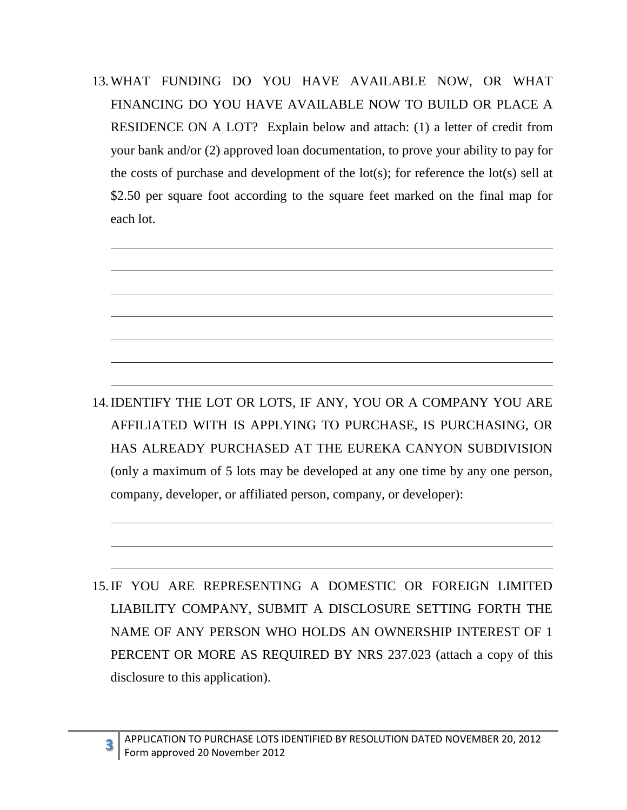13.WHAT FUNDING DO YOU HAVE AVAILABLE NOW, OR WHAT FINANCING DO YOU HAVE AVAILABLE NOW TO BUILD OR PLACE A RESIDENCE ON A LOT? Explain below and attach: (1) a letter of credit from your bank and/or (2) approved loan documentation, to prove your ability to pay for the costs of purchase and development of the  $\text{lot}(s)$ ; for reference the  $\text{lot}(s)$  sell at \$2.50 per square foot according to the square feet marked on the final map for each lot.



15.IF YOU ARE REPRESENTING A DOMESTIC OR FOREIGN LIMITED LIABILITY COMPANY, SUBMIT A DISCLOSURE SETTING FORTH THE NAME OF ANY PERSON WHO HOLDS AN OWNERSHIP INTEREST OF 1 PERCENT OR MORE AS REQUIRED BY NRS 237.023 (attach a copy of this disclosure to this application).